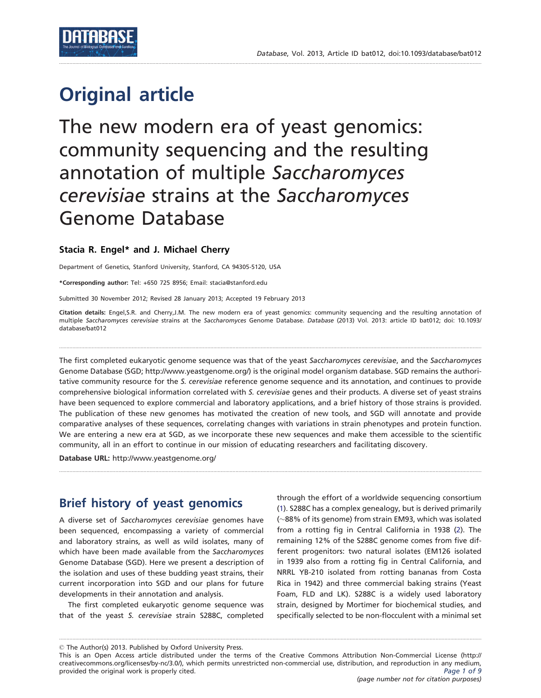

# Original article

The new modern era of yeast genomics: community sequencing and the resulting annotation of multiple Saccharomyces cerevisiae strains at the Saccharomyces Genome Database

.............................................................................................................................................................................................................................................................................................

#### Stacia R. Engel\* and J. Michael Cherry

Department of Genetics, Stanford University, Stanford, CA 94305-5120, USA

\*Corresponding author: Tel: +650 725 8956; Email: stacia@stanford.edu

Submitted 30 November 2012; Revised 28 January 2013; Accepted 19 February 2013

Citation details: Engel,S.R. and Cherry,J.M. The new modern era of yeast genomics: community sequencing and the resulting annotation of multiple Saccharomyces cerevisiae strains at the Saccharomyces Genome Database. Database (2013) Vol. 2013: article ID bat012; doi: 10.1093/ database/bat012

.............................................................................................................................................................................................................................................................................................

The first completed eukaryotic genome sequence was that of the yeast Saccharomyces cerevisiae, and the Saccharomyces Genome Database (SGD; [http://www.yeastgenome.org/\)](http://www.yeastgenome.org/) is the original model organism database. SGD remains the authoritative community resource for the S. cerevisiae reference genome sequence and its annotation, and continues to provide comprehensive biological information correlated with S. cerevisiae genes and their products. A diverse set of yeast strains have been sequenced to explore commercial and laboratory applications, and a brief history of those strains is provided. The publication of these new genomes has motivated the creation of new tools, and SGD will annotate and provide comparative analyses of these sequences, correlating changes with variations in strain phenotypes and protein function. We are entering a new era at SGD, as we incorporate these new sequences and make them accessible to the scientific community, all in an effort to continue in our mission of educating researchers and facilitating discovery.

.............................................................................................................................................................................................................................................................................................

Database URL: http://www.yeastgenome.org/

# Brief history of yeast genomics

A diverse set of Saccharomyces cerevisiae genomes have been sequenced, encompassing a variety of commercial and laboratory strains, as well as wild isolates, many of which have been made available from the Saccharomyces Genome Database (SGD). Here we present a description of the isolation and uses of these budding yeast strains, their current incorporation into SGD and our plans for future developments in their annotation and analysis.

The first completed eukaryotic genome sequence was that of the yeast S. cerevisiae strain S288C, completed through the effort of a worldwide sequencing consortium [\(1](#page-7-0)). S288C has a complex genealogy, but is derived primarily (~88% of its genome) from strain EM93, which was isolated from a rotting fig in Central California in 1938 ([2](#page-7-0)). The remaining 12% of the S288C genome comes from five different progenitors: two natural isolates (EM126 isolated in 1939 also from a rotting fig in Central California, and NRRL YB-210 isolated from rotting bananas from Costa Rica in 1942) and three commercial baking strains (Yeast Foam, FLD and LK). S288C is a widely used laboratory strain, designed by Mortimer for biochemical studies, and specifically selected to be non-flocculent with a minimal set

 $\odot$  The Author(s) 2013. Published by Oxford University Press.

This is an Open Access article distributed under the terms of the Creative Commons Attribution Non-Commercial License (http:// creativecommons.org/licenses/by-nc/3.0/), which permits unrestricted non-commercial use, distribution, and reproduction in any medium, provided the original work is properly cited. Page 1 of 9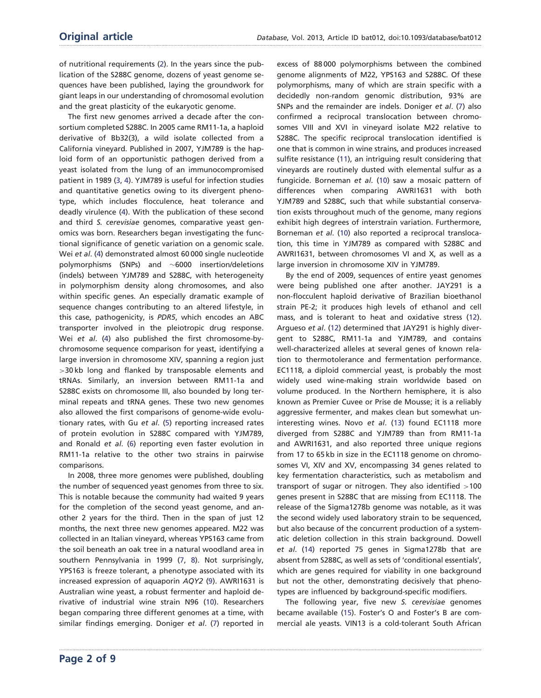of nutritional requirements ([2\)](#page-7-0). In the years since the publication of the S288C genome, dozens of yeast genome sequences have been published, laying the groundwork for giant leaps in our understanding of chromosomal evolution and the great plasticity of the eukaryotic genome.

The first new genomes arrived a decade after the consortium completed S288C. In 2005 came RM11-1a, a haploid derivative of Bb32(3), a wild isolate collected from a California vineyard. Published in 2007, YJM789 is the haploid form of an opportunistic pathogen derived from a yeast isolated from the lung of an immunocompromised patient in 1989 ([3](#page-7-0), [4\)](#page-7-0). YJM789 is useful for infection studies and quantitative genetics owing to its divergent phenotype, which includes flocculence, heat tolerance and deadly virulence ([4](#page-7-0)). With the publication of these second and third S. cerevisiae genomes, comparative yeast genomics was born. Researchers began investigating the functional significance of genetic variation on a genomic scale. Wei et al. [\(4](#page-7-0)) demonstrated almost 60 000 single nucleotide polymorphisms (SNPs) and  $\sim$  6000 insertion/deletions (indels) between YJM789 and S288C, with heterogeneity in polymorphism density along chromosomes, and also within specific genes. An especially dramatic example of sequence changes contributing to an altered lifestyle, in this case, pathogenicity, is PDR5, which encodes an ABC transporter involved in the pleiotropic drug response. Wei et al. [\(4\)](#page-7-0) also published the first chromosome-bychromosome sequence comparison for yeast, identifying a large inversion in chromosome XIV, spanning a region just >30 kb long and flanked by transposable elements and tRNAs. Similarly, an inversion between RM11-1a and S288C exists on chromosome III, also bounded by long terminal repeats and tRNA genes. These two new genomes also allowed the first comparisons of genome-wide evolutionary rates, with Gu et al. [\(5\)](#page-7-0) reporting increased rates of protein evolution in S288C compared with YJM789, and Ronald et al. ([6](#page-7-0)) reporting even faster evolution in RM11-1a relative to the other two strains in pairwise comparisons.

In 2008, three more genomes were published, doubling the number of sequenced yeast genomes from three to six. This is notable because the community had waited 9 years for the completion of the second yeast genome, and another 2 years for the third. Then in the span of just 12 months, the next three new genomes appeared. M22 was collected in an Italian vineyard, whereas YPS163 came from the soil beneath an oak tree in a natural woodland area in southern Pennsylvania in 1999 ([7](#page-7-0), [8\)](#page-7-0). Not surprisingly, YPS163 is freeze tolerant, a phenotype associated with its increased expression of aquaporin AQY2 [\(9\)](#page-7-0). AWRI1631 is Australian wine yeast, a robust fermenter and haploid derivative of industrial wine strain N96 [\(10](#page-8-0)). Researchers began comparing three different genomes at a time, with similar findings emerging. Doniger et al. ([7\)](#page-7-0) reported in

excess of 88 000 polymorphisms between the combined genome alignments of M22, YPS163 and S288C. Of these polymorphisms, many of which are strain specific with a decidedly non-random genomic distribution, 93% are SNPs and the remainder are indels. Doniger et al. [\(7\)](#page-7-0) also confirmed a reciprocal translocation between chromosomes VIII and XVI in vineyard isolate M22 relative to S288C. The specific reciprocal translocation identified is one that is common in wine strains, and produces increased sulfite resistance [\(11\)](#page-8-0), an intriguing result considering that vineyards are routinely dusted with elemental sulfur as a fungicide. Borneman et al. [\(10\)](#page-8-0) saw a mosaic pattern of differences when comparing AWRI1631 with both YJM789 and S288C, such that while substantial conservation exists throughout much of the genome, many regions exhibit high degrees of interstrain variation. Furthermore, Borneman et al. ([10](#page-8-0)) also reported a reciprocal translocation, this time in YJM789 as compared with S288C and AWRI1631, between chromosomes VI and X, as well as a large inversion in chromosome XIV in YJM789.

By the end of 2009, sequences of entire yeast genomes were being published one after another. JAY291 is a non-flocculent haploid derivative of Brazilian bioethanol strain PE-2; it produces high levels of ethanol and cell mass, and is tolerant to heat and oxidative stress ([12](#page-8-0)). Argueso et al. [\(12\)](#page-8-0) determined that JAY291 is highly divergent to S288C, RM11-1a and YJM789, and contains well-characterized alleles at several genes of known relation to thermotolerance and fermentation performance. EC1118, a diploid commercial yeast, is probably the most widely used wine-making strain worldwide based on volume produced. In the Northern hemisphere, it is also known as Premier Cuvee or Prise de Mousse; it is a reliably aggressive fermenter, and makes clean but somewhat un-interesting wines. Novo et al. ([13](#page-8-0)) found EC1118 more diverged from S288C and YJM789 than from RM11-1a and AWRI1631, and also reported three unique regions from 17 to 65 kb in size in the EC1118 genome on chromosomes VI, XIV and XV, encompassing 34 genes related to key fermentation characteristics, such as metabolism and transport of sugar or nitrogen. They also identified >100 genes present in S288C that are missing from EC1118. The release of the Sigma1278b genome was notable, as it was the second widely used laboratory strain to be sequenced, but also because of the concurrent production of a systematic deletion collection in this strain background. Dowell et al. [\(14\)](#page-8-0) reported 75 genes in Sigma1278b that are absent from S288C, as well as sets of 'conditional essentials', which are genes required for viability in one background but not the other, demonstrating decisively that phenotypes are influenced by background-specific modifiers.

The following year, five new S. cerevisiae genomes became available ([15](#page-8-0)). Foster's O and Foster's B are commercial ale yeasts. VIN13 is a cold-tolerant South African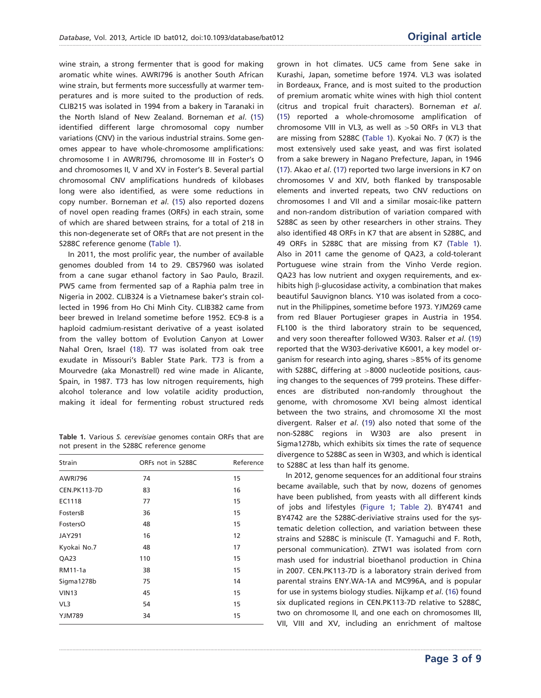wine strain, a strong fermenter that is good for making aromatic white wines. AWRI796 is another South African wine strain, but ferments more successfully at warmer temperatures and is more suited to the production of reds. CLIB215 was isolated in 1994 from a bakery in Taranaki in the North Island of New Zealand. Borneman et al. ([15\)](#page-8-0) identified different large chromosomal copy number variations (CNV) in the various industrial strains. Some genomes appear to have whole-chromosome amplifications: chromosome I in AWRI796, chromosome III in Foster's O and chromosomes II, V and XV in Foster's B. Several partial chromosomal CNV amplifications hundreds of kilobases long were also identified, as were some reductions in copy number. Borneman et al. ([15](#page-8-0)) also reported dozens of novel open reading frames (ORFs) in each strain, some of which are shared between strains, for a total of 218 in this non-degenerate set of ORFs that are not present in the S288C reference genome (Table 1).

In 2011, the most prolific year, the number of available genomes doubled from 14 to 29. CBS7960 was isolated from a cane sugar ethanol factory in Sao Paulo, Brazil. PW5 came from fermented sap of a Raphia palm tree in Nigeria in 2002. CLIB324 is a Vietnamese baker's strain collected in 1996 from Ho Chi Minh City. CLIB382 came from beer brewed in Ireland sometime before 1952. EC9-8 is a haploid cadmium-resistant derivative of a yeast isolated from the valley bottom of Evolution Canyon at Lower Nahal Oren, Israel ([18](#page-8-0)). T7 was isolated from oak tree exudate in Missouri's Babler State Park. T73 is from a Mourvedre (aka Monastrell) red wine made in Alicante, Spain, in 1987. T73 has low nitrogen requirements, high alcohol tolerance and low volatile acidity production, making it ideal for fermenting robust structured reds

Table 1. Various S. cerevisiae genomes contain ORFs that are not present in the S288C reference genome

| Strain              | ORFs not in S288C | Reference |  |  |
|---------------------|-------------------|-----------|--|--|
| AWRI796             | 74                | 15        |  |  |
| <b>CEN.PK113-7D</b> | 83                | 16        |  |  |
| EC1118              | 77                | 15        |  |  |
| FostersB            | 36                | 15        |  |  |
| FostersO            | 48                | 15        |  |  |
| <b>JAY291</b>       | 16                | 12        |  |  |
| Kyokai No.7         | 48                | 17        |  |  |
| QA23                | 110               | 15        |  |  |
| RM11-1a             | 38                | 15        |  |  |
| Sigma1278b          | 75                | 14        |  |  |
| <b>VIN13</b>        | 45                | 15        |  |  |
| VL3                 | 54                | 15        |  |  |
| <b>YJM789</b>       | 34                | 15        |  |  |

grown in hot climates. UC5 came from Sene sake in Kurashi, Japan, sometime before 1974. VL3 was isolated in Bordeaux, France, and is most suited to the production of premium aromatic white wines with high thiol content (citrus and tropical fruit characters). Borneman et al. [\(15\)](#page-8-0) reported a whole-chromosome amplification of chromosome VIII in VL3, as well as >50 ORFs in VL3 that are missing from S288C (Table 1). Kyokai No. 7 (K7) is the most extensively used sake yeast, and was first isolated from a sake brewery in Nagano Prefecture, Japan, in 1946 [\(17\)](#page-8-0). Akao et al. [\(17\)](#page-8-0) reported two large inversions in K7 on chromosomes V and XIV, both flanked by transposable elements and inverted repeats, two CNV reductions on chromosomes I and VII and a similar mosaic-like pattern and non-random distribution of variation compared with S288C as seen by other researchers in other strains. They also identified 48 ORFs in K7 that are absent in S288C, and 49 ORFs in S288C that are missing from K7 (Table 1). Also in 2011 came the genome of QA23, a cold-tolerant Portuguese wine strain from the Vinho Verde region. QA23 has low nutrient and oxygen requirements, and exhibits high  $\beta$ -glucosidase activity, a combination that makes beautiful Sauvignon blancs. Y10 was isolated from a coconut in the Philippines, sometime before 1973. YJM269 came from red Blauer Portugieser grapes in Austria in 1954. FL100 is the third laboratory strain to be sequenced, and very soon thereafter followed W303. Ralser et al. [\(19](#page-8-0)) reported that the W303-derivative K6001, a key model organism for research into aging, shares >85% of its genome with S288C, differing at >8000 nucleotide positions, causing changes to the sequences of 799 proteins. These differences are distributed non-randomly throughout the genome, with chromosome XVI being almost identical between the two strains, and chromosome XI the most divergent. Ralser et al. ([19\)](#page-8-0) also noted that some of the non-S288C regions in W303 are also present in Sigma1278b, which exhibits six times the rate of sequence divergence to S288C as seen in W303, and which is identical to S288C at less than half its genome.

In 2012, genome sequences for an additional four strains became available, such that by now, dozens of genomes have been published, from yeasts with all different kinds of jobs and lifestyles ([Figure 1;](#page-3-0) [Table 2\)](#page-4-0). BY4741 and BY4742 are the S288C-deriviative strains used for the systematic deletion collection, and variation between these strains and S288C is miniscule (T. Yamaguchi and F. Roth, personal communication). ZTW1 was isolated from corn mash used for industrial bioethanol production in China in 2007. CEN.PK113-7D is a laboratory strain derived from parental strains ENY.WA-1A and MC996A, and is popular for use in systems biology studies. Nijkamp et al. [\(16](#page-8-0)) found six duplicated regions in CEN.PK113-7D relative to S288C, two on chromosome II, and one each on chromosomes III, VII, VIII and XV, including an enrichment of maltose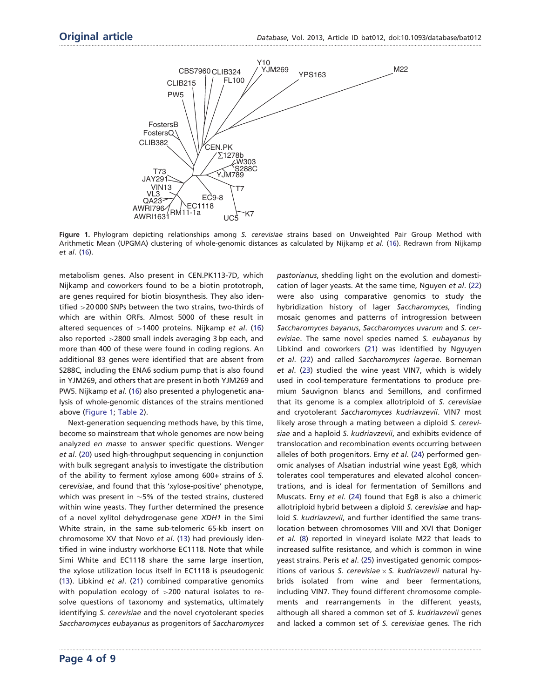<span id="page-3-0"></span>

Figure 1. Phylogram depicting relationships among S. cerevisiae strains based on Unweighted Pair Group Method with Arithmetic Mean (UPGMA) clustering of whole-genomic distances as calculated by Nijkamp et al. [\(16](#page-8-0)). Redrawn from Nijkamp et al. [\(16\)](#page-8-0).

metabolism genes. Also present in CEN.PK113-7D, which Nijkamp and coworkers found to be a biotin prototroph, are genes required for biotin biosynthesis. They also identified >20 000 SNPs between the two strains, two-thirds of which are within ORFs. Almost 5000 of these result in altered sequences of  $>1400$  proteins. Nijkamp et al. ([16\)](#page-8-0) also reported >2800 small indels averaging 3 bp each, and more than 400 of these were found in coding regions. An additional 83 genes were identified that are absent from S288C, including the ENA6 sodium pump that is also found in YJM269, and others that are present in both YJM269 and PW5. Nijkamp et al. ([16\)](#page-8-0) also presented a phylogenetic analysis of whole-genomic distances of the strains mentioned above (Figure 1; [Table 2\)](#page-4-0).

Next-generation sequencing methods have, by this time, become so mainstream that whole genomes are now being analyzed en masse to answer specific questions. Wenger et al. [\(20](#page-8-0)) used high-throughput sequencing in conjunction with bulk segregant analysis to investigate the distribution of the ability to ferment xylose among 600+ strains of S. cerevisiae, and found that this 'xylose-positive' phenotype, which was present in  ${\sim}5\%$  of the tested strains, clustered within wine yeasts. They further determined the presence of a novel xylitol dehydrogenase gene XDH1 in the Simi White strain, in the same sub-telomeric 65-kb insert on chromosome XV that Novo et al. [\(13\)](#page-8-0) had previously identified in wine industry workhorse EC1118. Note that while Simi White and EC1118 share the same large insertion, the xylose utilization locus itself in EC1118 is pseudogenic ([13](#page-8-0)). Libkind et al. ([21](#page-8-0)) combined comparative genomics with population ecology of >200 natural isolates to resolve questions of taxonomy and systematics, ultimately identifying S. cerevisiae and the novel cryotolerant species Saccharomyces eubayanus as progenitors of Saccharomyces cation of lager yeasts. At the same time, Nguyen et al. [\(22\)](#page-8-0) were also using comparative genomics to study the hybridization history of lager Saccharomyces, finding mosaic genomes and patterns of introgression between Saccharomyces bayanus, Saccharomyces uvarum and S. cerevisiae. The same novel species named S. eubayanus by Libkind and coworkers ([21\)](#page-8-0) was identified by Ngyuyen et al. ([22](#page-8-0)) and called Saccharomyces lagerae. Borneman et al. [\(23\)](#page-8-0) studied the wine yeast VIN7, which is widely used in cool-temperature fermentations to produce premium Sauvignon blancs and Semillons, and confirmed that its genome is a complex allotriploid of S. cerevisiae and cryotolerant Saccharomyces kudriavzevii. VIN7 most likely arose through a mating between a diploid S. cerevisiae and a haploid S. kudriavzevii, and exhibits evidence of translocation and recombination events occurring between alleles of both progenitors. Erny et al. [\(24\)](#page-8-0) performed genomic analyses of Alsatian industrial wine yeast Eg8, which tolerates cool temperatures and elevated alcohol concentrations, and is ideal for fermentation of Semillons and Muscats. Erny et el. ([24\)](#page-8-0) found that Eg8 is also a chimeric allotriploid hybrid between a diploid S. cerevisiae and haploid S. kudriavzevii, and further identified the same translocation between chromosomes VIII and XVI that Doniger et al. ([8](#page-7-0)) reported in vineyard isolate M22 that leads to increased sulfite resistance, and which is common in wine yeast strains. Peris et al. ([25](#page-8-0)) investigated genomic compositions of various S. cerevisiae  $\times$  S. kudriavzevii natural hybrids isolated from wine and beer fermentations, including VIN7. They found different chromosome complements and rearrangements in the different yeasts, although all shared a common set of S. kudriavzevii genes and lacked a common set of S. cerevisiae genes. The rich

pastorianus, shedding light on the evolution and domesti-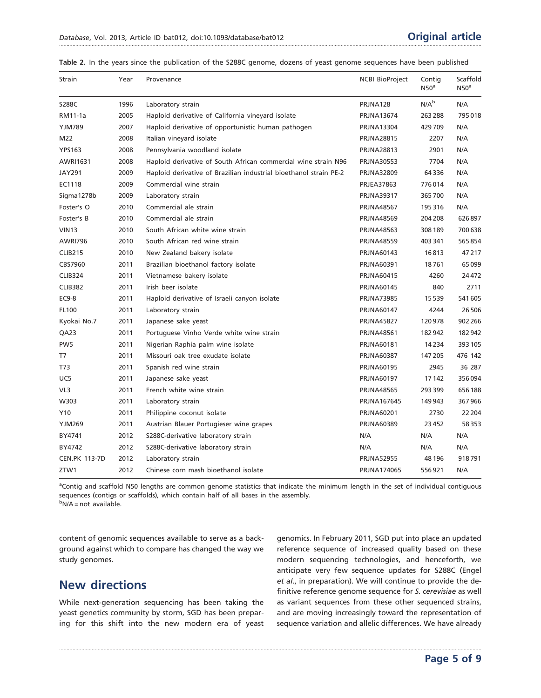| Strain               | Year | Provenance                                                        | <b>NCBI BioProject</b> | Contig<br>N50 <sup>a</sup> | Scaffold<br>N50 <sup>a</sup> |
|----------------------|------|-------------------------------------------------------------------|------------------------|----------------------------|------------------------------|
| S288C                | 1996 | Laboratory strain                                                 | PRJNA128               | N/A <sup>b</sup>           | N/A                          |
| RM11-1a              | 2005 | Haploid derivative of California vineyard isolate                 | PRJNA13674             | 263 288                    | 795018                       |
| <b>YJM789</b>        | 2007 | Haploid derivative of opportunistic human pathogen                | PRJNA13304             | 429709                     | N/A                          |
| M22                  | 2008 | Italian vineyard isolate                                          | PRJNA28815             | 2207                       | N/A                          |
| <b>YPS163</b>        | 2008 | Pennsylvania woodland isolate                                     | <b>PRJNA28813</b>      | 2901                       | N/A                          |
| <b>AWRI1631</b>      | 2008 | Haploid derivative of South African commercial wine strain N96    | PRJNA30553             | 7704                       | N/A                          |
| <b>JAY291</b>        | 2009 | Haploid derivative of Brazilian industrial bioethanol strain PE-2 | PRJNA32809             | 64336                      | N/A                          |
| EC1118               | 2009 | Commercial wine strain                                            | PRJEA37863             | 776014                     | N/A                          |
| Sigma1278b           | 2009 | Laboratory strain                                                 | PRJNA39317             | 365700                     | N/A                          |
| Foster's O           | 2010 | Commercial ale strain                                             | <b>PRJNA48567</b>      | 195316                     | N/A                          |
| Foster's B           | 2010 | Commercial ale strain                                             | PRJNA48569             | 204 208                    | 626897                       |
| <b>VIN13</b>         | 2010 | South African white wine strain                                   | <b>PRJNA48563</b>      | 308 189                    | 700 638                      |
| AWRI796              | 2010 | South African red wine strain                                     | PRJNA48559             | 403 341                    | 565854                       |
| <b>CLIB215</b>       | 2010 | New Zealand bakery isolate                                        | PRJNA60143             | 16813                      | 47 217                       |
| CBS7960              | 2011 | Brazilian bioethanol factory isolate                              | PRJNA60391             | 18761                      | 65099                        |
| <b>CLIB324</b>       | 2011 | Vietnamese bakery isolate                                         | PRJNA60415             | 4260                       | 24 47 2                      |
| <b>CLIB382</b>       | 2011 | Irish beer isolate                                                | PRJNA60145             | 840                        | 2711                         |
| <b>EC9-8</b>         | 2011 | Haploid derivative of Israeli canyon isolate                      | <b>PRJNA73985</b>      | 15539                      | 541 605                      |
| <b>FL100</b>         | 2011 | Laboratory strain                                                 | PRJNA60147             | 4244                       | 26 50 6                      |
| Kyokai No.7          | 2011 | Japanese sake yeast                                               | <b>PRJNA45827</b>      | 120978                     | 902 266                      |
| QA23                 | 2011 | Portuguese Vinho Verde white wine strain                          | <b>PRJNA48561</b>      | 182942                     | 182942                       |
| PW <sub>5</sub>      | 2011 | Nigerian Raphia palm wine isolate                                 | PRJNA60181             | 14234                      | 393 105                      |
| T7                   | 2011 | Missouri oak tree exudate isolate                                 | PRJNA60387             | 147 205                    | 476 142                      |
| T73                  | 2011 | Spanish red wine strain                                           | <b>PRJNA60195</b>      | 2945                       | 36 287                       |
| UC5                  | 2011 | Japanese sake yeast                                               | PRJNA60197             | 17142                      | 356094                       |
| VL3                  | 2011 | French white wine strain                                          | <b>PRJNA48565</b>      | 293399                     | 656 188                      |
| W303                 | 2011 | Laboratory strain                                                 | PRJNA167645            | 149 943                    | 367966                       |
| Y10                  | 2011 | Philippine coconut isolate                                        | PRJNA60201             | 2730                       | 22 204                       |
| <b>YJM269</b>        | 2011 | Austrian Blauer Portugieser wine grapes                           | PRJNA60389             | 23452                      | 58353                        |
| BY4741               | 2012 | S288C-derivative laboratory strain                                | N/A                    | N/A                        | N/A                          |
| BY4742               | 2012 | S288C-derivative laboratory strain                                | N/A                    | N/A                        | N/A                          |
| <b>CEN.PK 113-7D</b> | 2012 | Laboratory strain                                                 | <b>PRJNA52955</b>      | 48 196                     | 918791                       |
| ZTW1                 | 2012 | Chinese corn mash bioethanol isolate                              | PRJNA174065            | 556921                     | N/A                          |

<span id="page-4-0"></span>Table 2. In the years since the publication of the S288C genome, dozens of yeast genome sequences have been published

<sup>a</sup>Contig and scaffold N50 lengths are common genome statistics that indicate the minimum length in the set of individual contiguous sequences (contigs or scaffolds), which contain half of all bases in the assembly. <sup>b</sup>N/A = not available.

.............................................................................................................................................................................................................................................................................................

content of genomic sequences available to serve as a background against which to compare has changed the way we study genomes.

## New directions

While next-generation sequencing has been taking the yeast genetics community by storm, SGD has been preparing for this shift into the new modern era of yeast

genomics. In February 2011, SGD put into place an updated reference sequence of increased quality based on these modern sequencing technologies, and henceforth, we anticipate very few sequence updates for S288C (Engel et al., in preparation). We will continue to provide the definitive reference genome sequence for S. cerevisiae as well as variant sequences from these other sequenced strains, and are moving increasingly toward the representation of sequence variation and allelic differences. We have already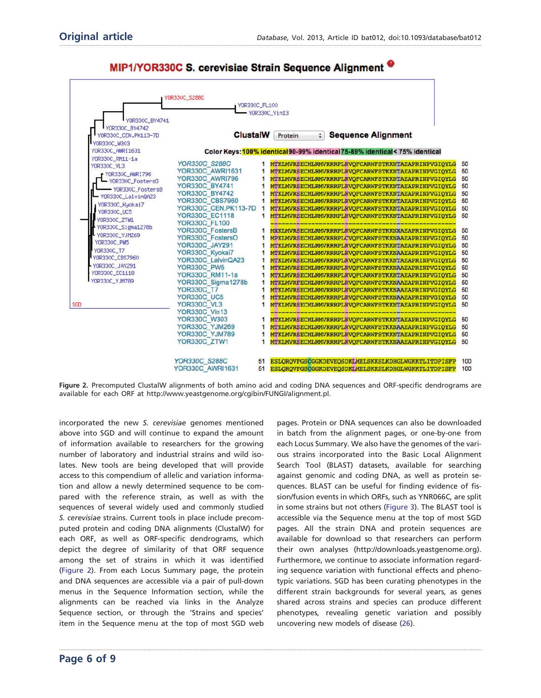

MIP1/YOR330C S. cerevisiae Strain Sequence Alignment

Figure 2. Precomputed ClustalW alignments of both amino acid and coding DNA sequences and ORF-specific dendrograms are available for each ORF at [http://www.yeastgenome.org/cgibin/FUNGI/alignment.pl.](http://www.yeastgenome.org/cgibin/FUNGI/alignment.pl)

incorporated the new S. cerevisiae genomes mentioned above into SGD and will continue to expand the amount of information available to researchers for the growing number of laboratory and industrial strains and wild isolates. New tools are being developed that will provide access to this compendium of allelic and variation information and allow a newly determined sequence to be compared with the reference strain, as well as with the sequences of several widely used and commonly studied S. cerevisiae strains. Current tools in place include precomputed protein and coding DNA alignments (ClustalW) for each ORF, as well as ORF-specific dendrograms, which depict the degree of similarity of that ORF sequence among the set of strains in which it was identified (Figure 2). From each Locus Summary page, the protein and DNA sequences are accessible via a pair of pull-down menus in the Sequence Information section, while the alignments can be reached via links in the Analyze Sequence section, or through the 'Strains and species' item in the Sequence menu at the top of most SGD web

pages. Protein or DNA sequences can also be downloaded in batch from the alignment pages, or one-by-one from each Locus Summary. We also have the genomes of the various strains incorporated into the Basic Local Alignment Search Tool (BLAST) datasets, available for searching against genomic and coding DNA, as well as protein sequences. BLAST can be useful for finding evidence of fission/fusion events in which ORFs, such as YNR066C, are split in some strains but not others [\(Figure 3](#page-6-0)). The BLAST tool is accessible via the Sequence menu at the top of most SGD pages. All the strain DNA and protein sequences are available for download so that researchers can perform their own analyses [\(http://downloads.yeastgenome.org](http://downloads.yeastgenome.org)). Furthermore, we continue to associate information regarding sequence variation with functional effects and phenotypic variations. SGD has been curating phenotypes in the different strain backgrounds for several years, as genes shared across strains and species can produce different phenotypes, revealing genetic variation and possibly uncovering new models of disease [\(26\)](#page-8-0).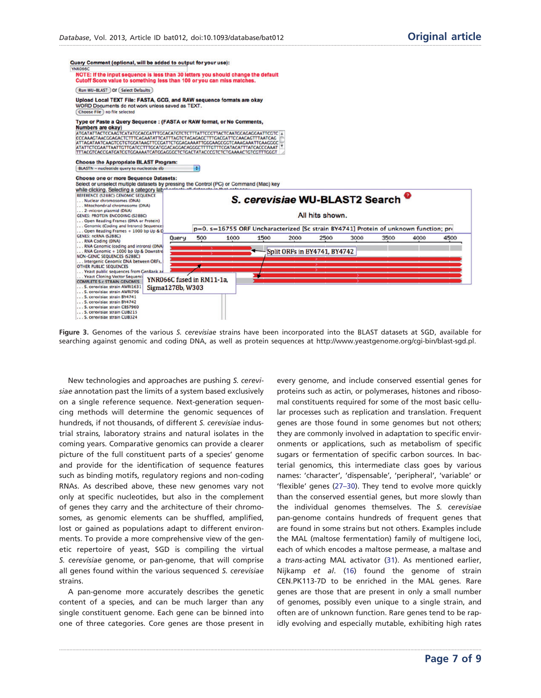<span id="page-6-0"></span>

Figure 3. Genomes of the various S. cerevisiae strains have been incorporated into the BLAST datasets at SGD, available for searching against genomic and coding DNA, as well as protein sequences at<http://www.yeastgenome.org/cgi-bin/blast-sgd.pl>.

New technologies and approaches are pushing S. cerevisiae annotation past the limits of a system based exclusively on a single reference sequence. Next-generation sequencing methods will determine the genomic sequences of hundreds, if not thousands, of different S. cerevisiae industrial strains, laboratory strains and natural isolates in the coming years. Comparative genomics can provide a clearer picture of the full constituent parts of a species' genome and provide for the identification of sequence features such as binding motifs, regulatory regions and non-coding RNAs. As described above, these new genomes vary not only at specific nucleotides, but also in the complement of genes they carry and the architecture of their chromosomes, as genomic elements can be shuffled, amplified, lost or gained as populations adapt to different environments. To provide a more comprehensive view of the genetic repertoire of yeast, SGD is compiling the virtual S. cerevisiae genome, or pan-genome, that will comprise all genes found within the various sequenced S. cerevisiae strains.

A pan-genome more accurately describes the genetic content of a species, and can be much larger than any single constituent genome. Each gene can be binned into one of three categories. Core genes are those present in

every genome, and include conserved essential genes for proteins such as actin, or polymerases, histones and ribosomal constituents required for some of the most basic cellular processes such as replication and translation. Frequent genes are those found in some genomes but not others; they are commonly involved in adaptation to specific environments or applications, such as metabolism of specific sugars or fermentation of specific carbon sources. In bacterial genomics, this intermediate class goes by various names: 'character', 'dispensable', 'peripheral', 'variable' or 'flexible' genes [\(27–30](#page-8-0)). They tend to evolve more quickly than the conserved essential genes, but more slowly than the individual genomes themselves. The S. cerevisiae pan-genome contains hundreds of frequent genes that are found in some strains but not others. Examples include the MAL (maltose fermentation) family of multigene loci, each of which encodes a maltose permease, a maltase and a trans-acting MAL activator ([31](#page-8-0)). As mentioned earlier, Nijkamp et al. ([16\)](#page-8-0) found the genome of strain CEN.PK113-7D to be enriched in the MAL genes. Rare genes are those that are present in only a small number of genomes, possibly even unique to a single strain, and often are of unknown function. Rare genes tend to be rapidly evolving and especially mutable, exhibiting high rates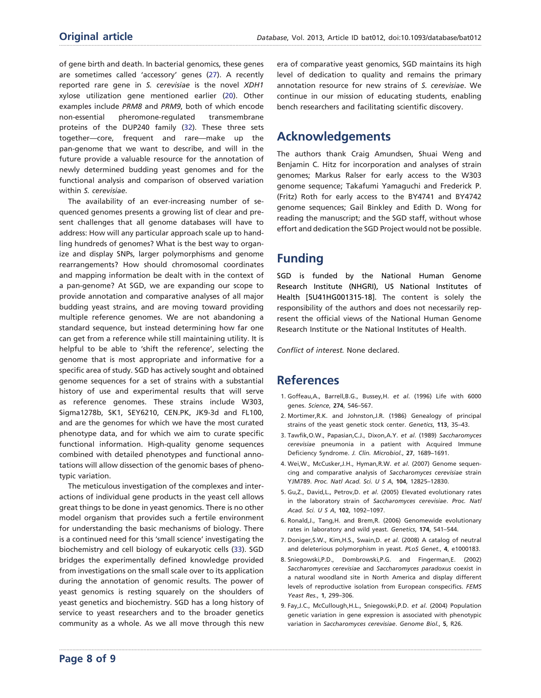<span id="page-7-0"></span>of gene birth and death. In bacterial genomics, these genes are sometimes called 'accessory' genes [\(27\)](#page-8-0). A recently reported rare gene in S. cerevisiae is the novel XDH1 xylose utilization gene mentioned earlier ([20](#page-8-0)). Other examples include PRM8 and PRM9, both of which encode non-essential pheromone-regulated transmembrane proteins of the DUP240 family [\(32\)](#page-8-0). These three sets together—core, frequent and rare—make up the pan-genome that we want to describe, and will in the future provide a valuable resource for the annotation of newly determined budding yeast genomes and for the functional analysis and comparison of observed variation within S. cerevisiae.

The availability of an ever-increasing number of sequenced genomes presents a growing list of clear and present challenges that all genome databases will have to address: How will any particular approach scale up to handling hundreds of genomes? What is the best way to organize and display SNPs, larger polymorphisms and genome rearrangements? How should chromosomal coordinates and mapping information be dealt with in the context of a pan-genome? At SGD, we are expanding our scope to provide annotation and comparative analyses of all major budding yeast strains, and are moving toward providing multiple reference genomes. We are not abandoning a standard sequence, but instead determining how far one can get from a reference while still maintaining utility. It is helpful to be able to 'shift the reference', selecting the genome that is most appropriate and informative for a specific area of study. SGD has actively sought and obtained genome sequences for a set of strains with a substantial history of use and experimental results that will serve as reference genomes. These strains include W303, Sigma1278b, SK1, SEY6210, CEN.PK, JK9-3d and FL100, and are the genomes for which we have the most curated phenotype data, and for which we aim to curate specific functional information. High-quality genome sequences combined with detailed phenotypes and functional annotations will allow dissection of the genomic bases of phenotypic variation.

The meticulous investigation of the complexes and interactions of individual gene products in the yeast cell allows great things to be done in yeast genomics. There is no other model organism that provides such a fertile environment for understanding the basic mechanisms of biology. There is a continued need for this 'small science' investigating the biochemistry and cell biology of eukaryotic cells ([33](#page-8-0)). SGD bridges the experimentally defined knowledge provided from investigations on the small scale over to its application during the annotation of genomic results. The power of yeast genomics is resting squarely on the shoulders of yeast genetics and biochemistry. SGD has a long history of service to yeast researchers and to the broader genetics community as a whole. As we all move through this new era of comparative yeast genomics, SGD maintains its high level of dedication to quality and remains the primary annotation resource for new strains of S. cerevisiae. We continue in our mission of educating students, enabling bench researchers and facilitating scientific discovery.

## Acknowledgements

The authors thank Craig Amundsen, Shuai Weng and Benjamin C. Hitz for incorporation and analyses of strain genomes; Markus Ralser for early access to the W303 genome sequence; Takafumi Yamaguchi and Frederick P. (Fritz) Roth for early access to the BY4741 and BY4742 genome sequences; Gail Binkley and Edith D. Wong for reading the manuscript; and the SGD staff, without whose effort and dedication the SGD Project would not be possible.

## Funding

SGD is funded by the National Human Genome Research Institute (NHGRI), US National Institutes of Health [5U41HG001315-18]. The content is solely the responsibility of the authors and does not necessarily represent the official views of the National Human Genome Research Institute or the National Institutes of Health.

Conflict of interest. None declared.

#### References

- 1. Goffeau,A., Barrell,B.G., Bussey,H. et al. (1996) Life with 6000 genes. Science, 274, 546–567.
- 2. Mortimer,R.K. and Johnston,J.R. (1986) Genealogy of principal strains of the yeast genetic stock center. Genetics, 113, 35–43.
- 3. Tawfik,O.W., Papasian,C.J., Dixon,A.Y. et al. (1989) Saccharomyces cerevisiae pneumonia in a patient with Acquired Immune Deficiency Syndrome. J. Clin. Microbiol., 27, 1689–1691.
- 4. Wei,W., McCusker,J.H., Hyman,R.W. et al. (2007) Genome sequencing and comparative analysis of Saccharomyces cerevisiae strain YJM789. Proc. Natl Acad. Sci. U S A, 104, 12825–12830.
- 5. Gu,Z., David,L., Petrov,D. et al. (2005) Elevated evolutionary rates in the laboratory strain of Saccharomyces cerevisiae. Proc. Natl Acad. Sci. U S A, 102, 1092–1097.
- 6. Ronald,J., Tang,H. and Brem,R. (2006) Genomewide evolutionary rates in laboratory and wild yeast. Genetics, 174, 541–544.
- 7. Doniger,S.W., Kim,H.S., Swain,D. et al. (2008) A catalog of neutral and deleterious polymorphism in yeast. PLoS Genet., 4, e1000183.
- 8. Sniegowski,P.D., Dombrowski,P.G. and Fingerman,E. (2002) Saccharomyces cerevisiae and Saccharomyces paradoxus coexist in a natural woodland site in North America and display different levels of reproductive isolation from European conspecifics. FEMS Yeast Res., 1, 299–306.
- 9. Fay,J.C., McCullough,H.L., Sniegowski,P.D. et al. (2004) Population genetic variation in gene expression is associated with phenotypic variation in Saccharomyces cerevisiae. Genome Biol., 5, R26.